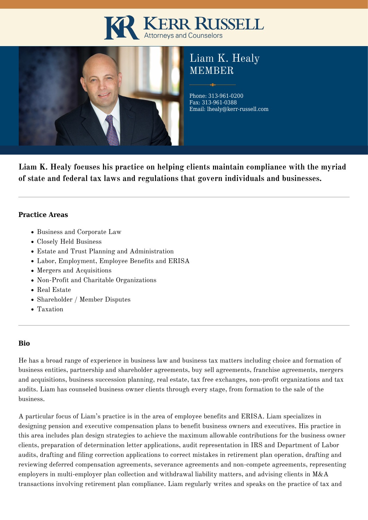# KERR RUSSELL



# Liam K. Healy **MEMBER**

Phone: 313-961-0200 Fax: 313-961-0388 Email: lhealy@kerr-russell.com

**Liam K. Healy focuses his practice on helping clients maintain compliance with the myriad of state and federal tax laws and regulations that govern individuals and businesses.**

### **Practice Areas**

- Business and Corporate Law
- Closely Held Business
- Estate and Trust Planning and Administration
- Labor, Employment, Employee Benefits and ERISA
- Mergers and Acquisitions
- Non-Profit and Charitable Organizations
- Real Estate
- Shareholder / Member Disputes
- Taxation

# **Bio**

He has a broad range of experience in business law and business tax matters including choice and formation of business entities, partnership and shareholder agreements, buy sell agreements, franchise agreements, mergers and acquisitions, business succession planning, real estate, tax free exchanges, non-profit organizations and tax audits. Liam has counseled business owner clients through every stage, from formation to the sale of the business.

A particular focus of Liam's practice is in the area of employee benefits and ERISA. Liam specializes in designing pension and executive compensation plans to benefit business owners and executives. His practice in this area includes plan design strategies to achieve the maximum allowable contributions for the business owner clients, preparation of determination letter applications, audit representation in IRS and Department of Labor audits, drafting and filing correction applications to correct mistakes in retirement plan operation, drafting and reviewing deferred compensation agreements, severance agreements and non-compete agreements, representing employers in multi-employer plan collection and withdrawal liability matters, and advising clients in M&A transactions involving retirement plan compliance. Liam regularly writes and speaks on the practice of tax and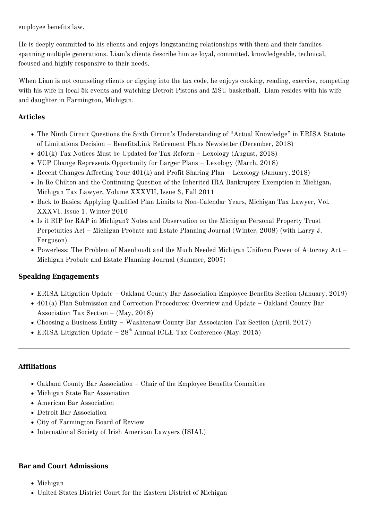employee benefits law.

He is deeply committed to his clients and enjoys longstanding relationships with them and their families spanning multiple generations. Liam's clients describe him as loyal, committed, knowledgeable, technical, focused and highly responsive to their needs.

When Liam is not counseling clients or digging into the tax code, he enjoys cooking, reading, exercise, competing with his wife in local 5k events and watching Detroit Pistons and MSU basketball. Liam resides with his wife and daughter in Farmington, Michigan.

## **Articles**

- The Ninth Circuit Questions the Sixth Circuit's Understanding of "Actual Knowledge" in ERISA Statute of Limitations Decision – BenefitsLink Retirement Plans Newsletter (December, 2018)
- $\bullet$  401(k) Tax Notices Must be Updated for Tax Reform Lexology (August, 2018)
- VCP Change Represents Opportunity for Larger Plans Lexology (March, 2018)
- Recent Changes Affecting Your 401(k) and Profit Sharing Plan Lexology (January, 2018)
- In Re Chilton and the Continuing Question of the Inherited IRA Bankruptcy Exemption in Michigan, Michigan Tax Lawyer, Volume XXXVII, Issue 3, Fall 2011
- Back to Basics: Applying Qualified Plan Limits to Non-Calendar Years, Michigan Tax Lawyer, Vol. XXXVI, Issue 1, Winter 2010
- Is it RIP for RAP in Michigan? Notes and Observation on the Michigan Personal Property Trust Perpetuities Act – Michigan Probate and Estate Planning Journal (Winter, 2008) (with Larry J. Ferguson)
- Powerless: The Problem of Maenhoudt and the Much Needed Michigan Uniform Power of Attorney Act Michigan Probate and Estate Planning Journal (Summer, 2007)

### **Speaking Engagements**

- ERISA Litigation Update Oakland County Bar Association Employee Benefits Section (January, 2019)
- 401(a) Plan Submission and Correction Procedures: Overview and Update Oakland County Bar Association Tax Section – (May, 2018)
- Choosing a Business Entity Washtenaw County Bar Association Tax Section (April, 2017)
- ERISA Litigation Update  $28<sup>th</sup>$  Annual ICLE Tax Conference (May, 2015)

### **Affiliations**

- Oakland County Bar Association Chair of the Employee Benefits Committee
- Michigan State Bar Association
- American Bar Association
- Detroit Bar Association
- City of Farmington Board of Review
- International Society of Irish American Lawyers (ISIAL)

#### **Bar and Court Admissions**

- Michigan
- United States District Court for the Eastern District of Michigan